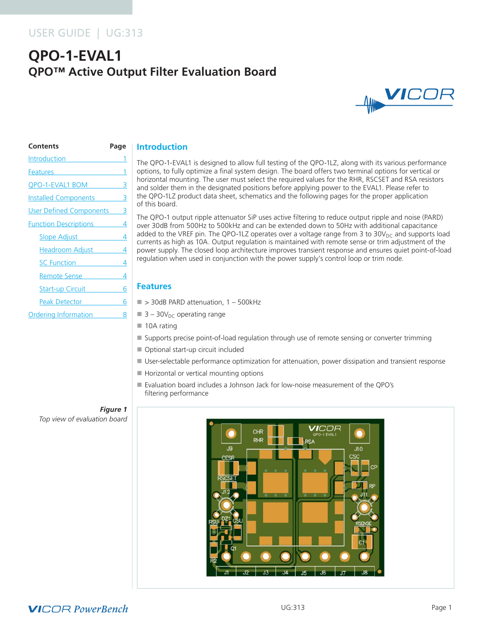## USER GUIDE | UG:313

# **QPO-1-EVAL1 QPO™ Active Output Filter Evaluation Board**



| <b>Contents</b>                                                                                                                                                                                                                | Page |
|--------------------------------------------------------------------------------------------------------------------------------------------------------------------------------------------------------------------------------|------|
| <b>Introduction</b>                                                                                                                                                                                                            |      |
| Features and the state of the state of the state of the state of the state of the state of the state of the state of the state of the state of the state of the state of the state of the state of the state of the state of t | 1    |
| QPO-1-EVAL1 BOM                                                                                                                                                                                                                | 3    |
| Installed Components                                                                                                                                                                                                           | 3    |
| User Defined Components 3                                                                                                                                                                                                      |      |
| <b>Function Descriptions</b>                                                                                                                                                                                                   | 4    |
| Slope Adjust <b>Slope Adjust</b>                                                                                                                                                                                               | 4    |
| Headroom Adjust                                                                                                                                                                                                                | 4    |
| SC Function                                                                                                                                                                                                                    | 4    |
| Remote Sense                                                                                                                                                                                                                   | 4    |
| Start-up Circuit                                                                                                                                                                                                               | 6    |
| Peak Detector <b>Search Street Search</b>                                                                                                                                                                                      | 6    |
| Ordering Information                                                                                                                                                                                                           | 8    |

## **Introduction**

The QPO-1-EVAL1 is designed to allow full testing of the QPO-1LZ, along with its various performance options, to fully optimize a final system design. The board offers two terminal options for vertical or horizontal mounting. The user must select the required values for the RHR, RSCSET and RSA resistors and solder them in the designated positions before applying power to the EVAL1. Please refer to the QPO-1LZ product data sheet, schematics and the following pages for the proper application of this board.

The QPO-1 output ripple attenuator SiP uses active filtering to reduce output ripple and noise (PARD) over 30dB from 500Hz to 500kHz and can be extended down to 50Hz with additional capacitance added to the VREF pin. The QPO-1LZ operates over a voltage range from 3 to  $30V_{DC}$  and supports load currents as high as 10A. Output regulation is maintained with remote sense or trim adjustment of the power supply. The closed loop architecture improves transient response and ensures quiet point-of-load regulation when used in conjunction with the power supply's control loop or trim node.

### **Features**

- $\blacksquare$  > 30dB PARD attenuation, 1 500kHz
- $\blacksquare$  3 30 $V_{DC}$  operating range
- $\blacksquare$  10A rating
- Supports precise point-of-load regulation through use of remote sensing or converter trimming
- Optional start-up circuit included
- User-selectable performance optimization for attenuation, power dissipation and transient response
- $\blacksquare$  Horizontal or vertical mounting options
- Evaluation board includes a Johnson Jack for low-noise measurement of the QPO's filtering performance

## *Figure 1*

*Top view of evaluation board*

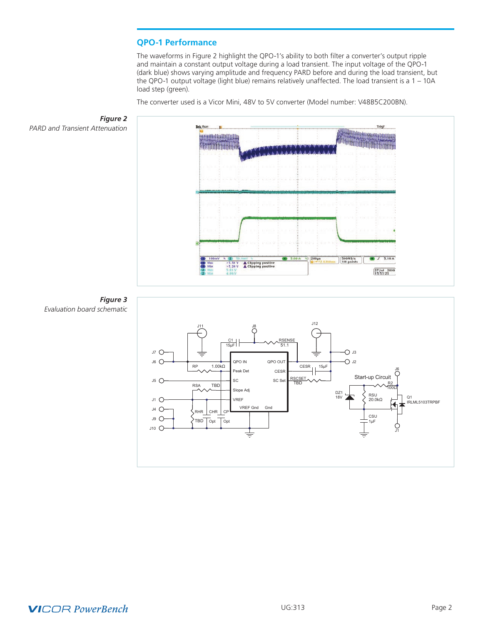## **QPO-1 Performance**

The waveforms in Figure 2 highlight the QPO-1's ability to both filter a converter's output ripple and maintain a constant output voltage during a load transient. The input voltage of the QPO-1 (dark blue) shows varying amplitude and frequency PARD before and during the load transient, but the QPO-1 output voltage (light blue) remains relatively unaffected. The load transient is a 1 – 10A load step (green).

The converter used is a Vicor Mini, 48V to 5V converter (Model number: V48B5C200BN).



CP **Topt** 

TBD Opt  $R$ HR  $|$  CHR

 $J10$   $O$  $J9$   $\bigcirc$ J4 O

 $J1$   $O$ 

VREF

VREF Gnd Gnd

## **VICOR PowerBench**

Q1 IRLML5103TRPBF

J1

CSU 1µF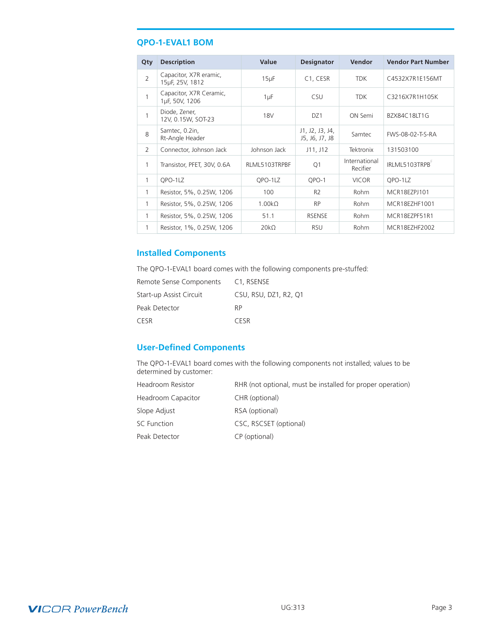## <span id="page-2-0"></span>**QPO-1-EVAL1 BOM**

| Qty            | <b>Description</b>                        | Value              | <b>Designator</b>                 | <b>Vendor</b>             | <b>Vendor Part Number</b> |
|----------------|-------------------------------------------|--------------------|-----------------------------------|---------------------------|---------------------------|
| $\overline{2}$ | Capacitor, X7R eramic,<br>15uF, 25V, 1812 | $15\mu F$          | C <sub>1</sub> , CESR             | <b>TDK</b>                | C4532X7R1E156MT           |
| 1              | Capacitor, X7R Ceramic,<br>1µF, 50V, 1206 | $1 \mu F$          | <b>CSU</b>                        | <b>TDK</b>                | C3216X7R1H105K            |
| $\mathbf{1}$   | Diode, Zener,<br>12V, 0.15W, SOT-23       | <b>18V</b>         | DZ1                               | ON Semi                   | BZX84C18LT1G              |
| 8              | Samtec, 0.2in,<br>Rt-Angle Header         |                    | J1, J2, J3, J4,<br>J5, J6, J7, J8 | Samtec                    | FWS-08-02-T-S-RA          |
| 2              | Connector, Johnson Jack                   | Johnson Jack       | J11, J12                          | Tektronix                 | 131503100                 |
| 1              | Transistor, PFET, 30V, 0.6A               | RLML5103TRPBF      | Q <sub>1</sub>                    | International<br>Recifier | IRLML5103TRPB             |
| $\mathbf{1}$   | QPO-1LZ                                   | QPO-1LZ            | QPO-1                             | <b>VICOR</b>              | QPO-1LZ                   |
| 1              | Resistor, 5%, 0.25W, 1206                 | 100                | R <sub>2</sub>                    | <b>Rohm</b>               | MCR18EZPJ101              |
| 1              | Resistor, 5%, 0.25W, 1206                 | 1.00k <sub>2</sub> | <b>RP</b>                         | Rohm                      | MCR18EZHF1001             |
| 1              | Resistor, 5%, 0.25W, 1206                 | 51.1               | <b>RSENSE</b>                     | <b>Rohm</b>               | MCR18EZPF51R1             |
| 1              | Resistor, 1%, 0.25W, 1206                 | $20k\Omega$        | <b>RSU</b>                        | Rohm                      | MCR18EZHF2002             |

## **Installed Components**

The QPO-1-EVAL1 board comes with the following components pre-stuffed:

| Remote Sense Components | C <sub>1</sub> , RSENSE |
|-------------------------|-------------------------|
| Start-up Assist Circuit | CSU, RSU, DZ1, R2, Q1   |
| Peak Detector           | <b>RP</b>               |
| CESR                    | <b>CESR</b>             |

## **User-Defined Components**

The QPO-1-EVAL1 board comes with the following components not installed; values to be determined by customer:

| <b>Headroom Resistor</b> | RHR (not optional, must be installed for proper operation) |
|--------------------------|------------------------------------------------------------|
| Headroom Capacitor       | CHR (optional)                                             |
| Slope Adjust             | RSA (optional)                                             |
| SC Function              | CSC, RSCSET (optional)                                     |
| Peak Detector            | CP (optional)                                              |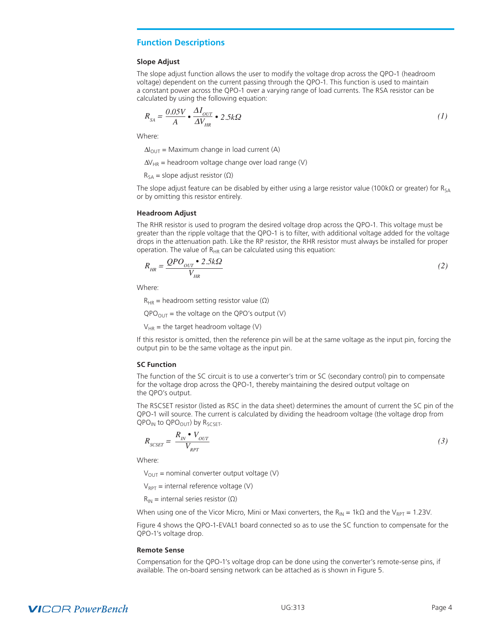### <span id="page-3-0"></span>**Function Descriptions**

#### **Slope Adjust**

The slope adjust function allows the user to modify the voltage drop across the QPO-1 (headroom voltage) dependent on the current passing through the QPO-1. This function is used to maintain a constant power across the QPO-1 over a varying range of load currents. The RSA resistor can be calculated by using the following equation:

$$
R_{SA} = \frac{0.05V}{A} \bullet \frac{\Delta I_{OUT}}{\Delta V_{HR}} \bullet 2.5k\Omega
$$
 (1)

Where:

 $\Delta I_{\text{OUT}}$  = Maximum change in load current (A)

 $\Delta V_{HR}$  = headroom voltage change over load range (V)

 $R_{SA}$  = slope adjust resistor ( $\Omega$ )

The slope adjust feature can be disabled by either using a large resistor value (100kΩ or greater) for R<sub>SA</sub> or by omitting this resistor entirely.

#### **Headroom Adjust**

The RHR resistor is used to program the desired voltage drop across the QPO-1. This voltage must be greater than the ripple voltage that the QPO-1 is to filter, with additional voltage added for the voltage drops in the attenuation path. Like the RP resistor, the RHR resistor must always be installed for proper operation. The value of  $R_{HR}$  can be calculated using this equation:

$$
R_{HR} = \frac{QPO_{OUT} \cdot 2.5k\Omega}{V_{HR}}
$$
 (2)

Where:

 $R_{HR}$  = headroom setting resistor value ( $\Omega$ )

 $QPO<sub>OUT</sub>$  = the voltage on the QPO's output (V)

 $V_{HR}$  = the target headroom voltage (V)

If this resistor is omitted, then the reference pin will be at the same voltage as the input pin, forcing the output pin to be the same voltage as the input pin.

#### **SC Function**

The function of the SC circuit is to use a converter's trim or SC (secondary control) pin to compensate for the voltage drop across the QPO-1, thereby maintaining the desired output voltage on the QPO's output.

The RSCSET resistor (listed as RSC in the data sheet) determines the amount of current the SC pin of the QPO-1 will source. The current is calculated by dividing the headroom voltage (the voltage drop from  $QPO_{IN}$  to  $QPO_{OUT}$ ) by  $R_{SCSET}$ .

$$
R_{SCSET} = \frac{R_{IN} \cdot V_{OUT}}{V_{RPT}}
$$
\n(3)

Where:

 $V_{\text{OUT}}$  = nominal converter output voltage (V)

 $V_{RPT}$  = internal reference voltage (V)

 $R_{IN}$  = internal series resistor ( $\Omega$ )

When using one of the Vicor Micro, Mini or Maxi converters, the R<sub>IN</sub> = 1kΩ and the V<sub>RPT</sub> = 1.23V.

Figure 4 shows the QPO-1-EVAL1 board connected so as to use the SC function to compensate for the QPO-1's voltage drop.

#### **Remote Sense**

Compensation for the QPO-1's voltage drop can be done using the converter's remote-sense pins, if available. The on-board sensing network can be attached as is shown in Figure 5.

## **VICOR PowerBench**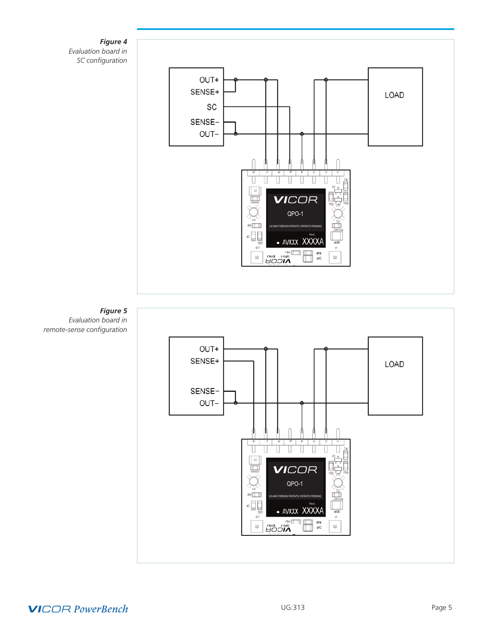

## **VICOR PowerBench**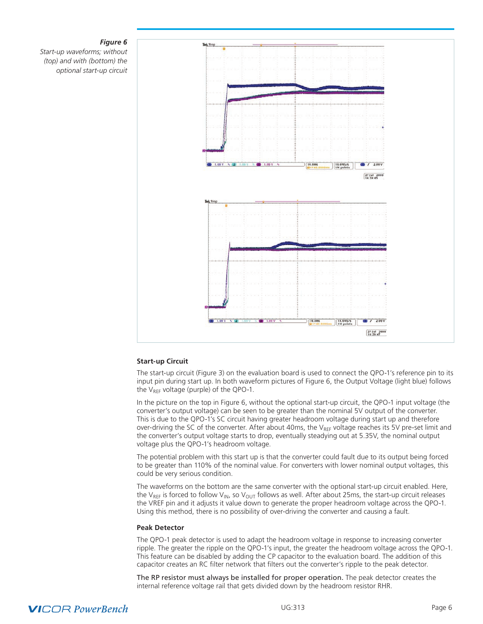#### *Figure 6*

<span id="page-5-0"></span>*Start-up waveforms; without (top) and with (bottom) the optional start-up circuit*



#### **Start-up Circuit**

The start-up circuit (Figure 3) on the evaluation board is used to connect the QPO-1's reference pin to its input pin during start up. In both waveform pictures of Figure 6, the Output Voltage (light blue) follows the  $V_{REF}$  voltage (purple) of the QPO-1.

In the picture on the top in Figure 6, without the optional start-up circuit, the QPO-1 input voltage (the converter's output voltage) can be seen to be greater than the nominal 5V output of the converter. This is due to the QPO-1's SC circuit having greater headroom voltage during start up and therefore over-driving the SC of the converter. After about 40ms, the  $V_{REF}$  voltage reaches its 5V pre-set limit and the converter's output voltage starts to drop, eventually steadying out at 5.35V, the nominal output voltage plus the QPO-1's headroom voltage.

The potential problem with this start up is that the converter could fault due to its output being forced to be greater than 110% of the nominal value. For converters with lower nominal output voltages, this could be very serious condition.

The waveforms on the bottom are the same converter with the optional start-up circuit enabled. Here, the V<sub>RFF</sub> is forced to follow V<sub>IN</sub>, so V<sub>OUT</sub> follows as well. After about 25ms, the start-up circuit releases the VREF pin and it adjusts it value down to generate the proper headroom voltage across the QPO-1. Using this method, there is no possibility of over-driving the converter and causing a fault.

#### **Peak Detector**

The QPO-1 peak detector is used to adapt the headroom voltage in response to increasing converter ripple. The greater the ripple on the QPO-1's input, the greater the headroom voltage across the QPO-1. This feature can be disabled by adding the CP capacitor to the evaluation board. The addition of this capacitor creates an RC filter network that filters out the converter's ripple to the peak detector.

The RP resistor must always be installed for proper operation. The peak detector creates the internal reference voltage rail that gets divided down by the headroom resistor RHR.

## **VICOR PowerBench**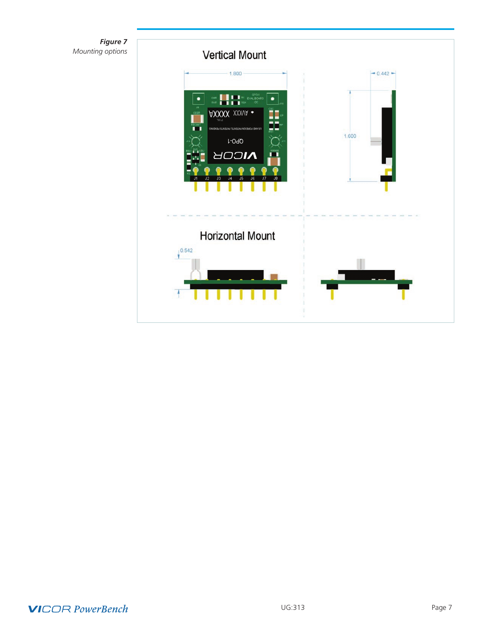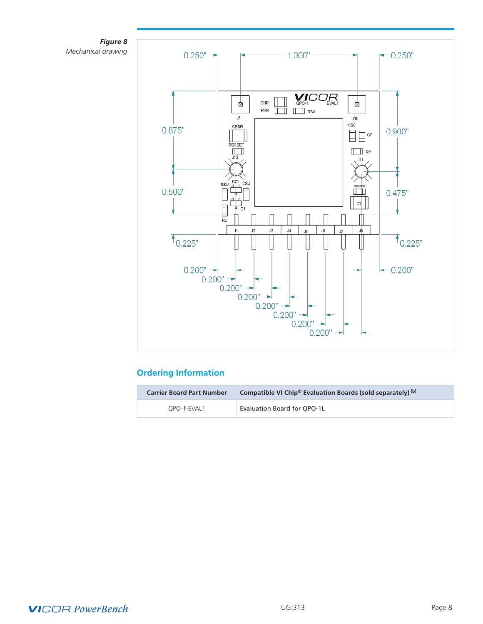<span id="page-7-0"></span>



## **Ordering Information**

| <b>Carrier Board Part Number</b> | Compatible VI Chip <sup>®</sup> Evaluation Boards (sold separately) [b] |
|----------------------------------|-------------------------------------------------------------------------|
| OPO-1-EVAL1                      | Evaluation Board for QPO-1L                                             |